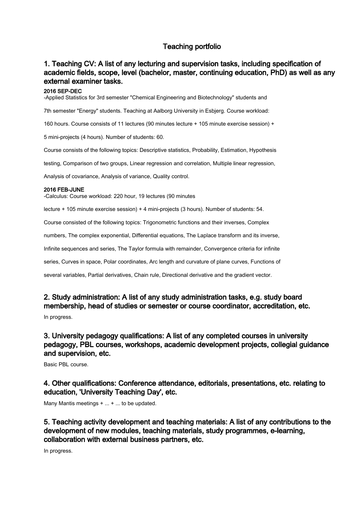# Teaching portfolio

# 1. Teaching CV: A list of any lecturing and supervision tasks, including specification of academic fields, scope, level (bachelor, master, continuing education, PhD) as well as any external examiner tasks.

### 2016 SEP-DEC

-Applied Statistics for 3rd semester "Chemical Engineering and Biotechnology" students and

7th semester "Energy" students. Teaching at Aalborg University in Esbjerg. Course workload:

160 hours. Course consists of 11 lectures (90 minutes lecture + 105 minute exercise session) +

5 mini-projects (4 hours). Number of students: 60.

Course consists of the following topics: Descriptive statistics, Probability, Estimation, Hypothesis

testing, Comparison of two groups, Linear regression and correlation, Multiple linear regression,

Analysis of covariance, Analysis of variance, Quality control.

#### 2016 FEB-JUNE

-Calculus: Course workload: 220 hour, 19 lectures (90 minutes

lecture + 105 minute exercise session) + 4 mini-projects (3 hours). Number of students: 54.

Course consisted of the following topics: Trigonometric functions and their inverses, Complex

numbers, The complex exponential, Differential equations, The Laplace transform and its inverse,

Infinite sequences and series, The Taylor formula with remainder, Convergence criteria for infinite

series, Curves in space, Polar coordinates, Arc length and curvature of plane curves, Functions of

several variables, Partial derivatives, Chain rule, Directional derivative and the gradient vector.

### 2. Study administration: A list of any study administration tasks, e.g. study board membership, head of studies or semester or course coordinator, accreditation, etc.

In progress.

## 3. University pedagogy qualifications: A list of any completed courses in university pedagogy, PBL courses, workshops, academic development projects, collegial guidance and supervision, etc.

Basic PBL course.

4. Other qualifications: Conference attendance, editorials, presentations, etc. relating to education, 'University Teaching Day', etc.

Many Mantis meetings + ... + ... to be updated.

5. Teaching activity development and teaching materials: A list of any contributions to the development of new modules, teaching materials, study programmes, e-learning, collaboration with external business partners, etc.

In progress.